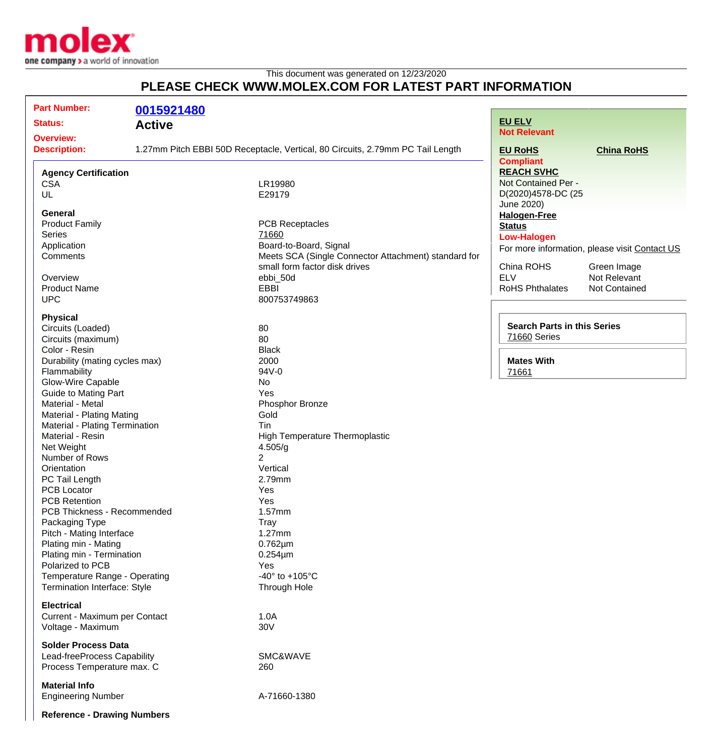

## This document was generated on 12/23/2020 **PLEASE CHECK WWW.MOLEX.COM FOR LATEST PART INFORMATION**

| <b>Part Number:</b>                 |               |                                                                                |                                    |                                               |
|-------------------------------------|---------------|--------------------------------------------------------------------------------|------------------------------------|-----------------------------------------------|
|                                     | 0015921480    |                                                                                | <b>EU ELV</b>                      |                                               |
| <b>Status:</b>                      | <b>Active</b> |                                                                                | <b>Not Relevant</b>                |                                               |
| <b>Overview:</b>                    |               |                                                                                |                                    |                                               |
| <b>Description:</b>                 |               | 1.27mm Pitch EBBI 50D Receptacle, Vertical, 80 Circuits, 2.79mm PC Tail Length | <b>EU RoHS</b>                     | <b>China RoHS</b>                             |
|                                     |               |                                                                                | <b>Compliant</b>                   |                                               |
| <b>Agency Certification</b>         |               |                                                                                | <b>REACH SVHC</b>                  |                                               |
| <b>CSA</b>                          |               | LR19980                                                                        | Not Contained Per -                |                                               |
| UL                                  |               | E29179                                                                         | D(2020)4578-DC (25                 |                                               |
|                                     |               |                                                                                | June 2020)                         |                                               |
| <b>General</b>                      |               |                                                                                | <b>Halogen-Free</b>                |                                               |
| <b>Product Family</b>               |               | <b>PCB Receptacles</b>                                                         | <b>Status</b>                      |                                               |
| <b>Series</b>                       |               | 71660                                                                          | <b>Low-Halogen</b>                 |                                               |
| Application                         |               | Board-to-Board, Signal                                                         |                                    | For more information, please visit Contact US |
| Comments                            |               | Meets SCA (Single Connector Attachment) standard for                           |                                    |                                               |
|                                     |               | small form factor disk drives                                                  | China ROHS                         | Green Image                                   |
| Overview                            |               | ebbi_50d                                                                       | <b>ELV</b>                         | Not Relevant                                  |
| <b>Product Name</b>                 |               | <b>EBBI</b>                                                                    | <b>RoHS Phthalates</b>             | <b>Not Contained</b>                          |
| <b>UPC</b>                          |               | 800753749863                                                                   |                                    |                                               |
|                                     |               |                                                                                |                                    |                                               |
| <b>Physical</b>                     |               |                                                                                |                                    |                                               |
| Circuits (Loaded)                   |               | 80                                                                             | <b>Search Parts in this Series</b> |                                               |
| Circuits (maximum)                  |               | 80                                                                             | 71660 Series                       |                                               |
| Color - Resin                       |               | <b>Black</b>                                                                   |                                    |                                               |
| Durability (mating cycles max)      |               | 2000                                                                           | <b>Mates With</b>                  |                                               |
| Flammability                        |               | 94V-0                                                                          | 71661                              |                                               |
| Glow-Wire Capable                   |               | No                                                                             |                                    |                                               |
| <b>Guide to Mating Part</b>         |               | Yes                                                                            |                                    |                                               |
| Material - Metal                    |               | Phosphor Bronze                                                                |                                    |                                               |
| Material - Plating Mating           |               | Gold                                                                           |                                    |                                               |
| Material - Plating Termination      |               | Tin                                                                            |                                    |                                               |
| Material - Resin                    |               | High Temperature Thermoplastic                                                 |                                    |                                               |
| Net Weight                          |               | 4.505/g                                                                        |                                    |                                               |
| Number of Rows                      |               | $\overline{2}$                                                                 |                                    |                                               |
| Orientation                         |               | Vertical                                                                       |                                    |                                               |
| PC Tail Length                      |               | 2.79mm                                                                         |                                    |                                               |
| <b>PCB Locator</b>                  |               | Yes                                                                            |                                    |                                               |
| <b>PCB Retention</b>                |               | Yes                                                                            |                                    |                                               |
| PCB Thickness - Recommended         |               | 1.57mm                                                                         |                                    |                                               |
| Packaging Type                      |               | <b>Tray</b>                                                                    |                                    |                                               |
| Pitch - Mating Interface            |               | $1.27$ mm                                                                      |                                    |                                               |
| Plating min - Mating                |               | $0.762 \mu m$                                                                  |                                    |                                               |
| Plating min - Termination           |               | $0.254 \mu m$                                                                  |                                    |                                               |
| Polarized to PCB                    |               | Yes                                                                            |                                    |                                               |
| Temperature Range - Operating       |               | -40 $\degree$ to +105 $\degree$ C                                              |                                    |                                               |
| <b>Termination Interface: Style</b> |               | Through Hole                                                                   |                                    |                                               |
|                                     |               |                                                                                |                                    |                                               |
| <b>Electrical</b>                   |               |                                                                                |                                    |                                               |
| Current - Maximum per Contact       |               | 1.0A                                                                           |                                    |                                               |
| Voltage - Maximum                   |               | 30V                                                                            |                                    |                                               |
| <b>Solder Process Data</b>          |               |                                                                                |                                    |                                               |
| Lead-freeProcess Capability         |               | SMC&WAVE                                                                       |                                    |                                               |
| Process Temperature max. C          |               | 260                                                                            |                                    |                                               |
|                                     |               |                                                                                |                                    |                                               |
| <b>Material Info</b>                |               |                                                                                |                                    |                                               |
| <b>Engineering Number</b>           |               | A-71660-1380                                                                   |                                    |                                               |
|                                     |               |                                                                                |                                    |                                               |
| <b>Reference - Drawing Numbers</b>  |               |                                                                                |                                    |                                               |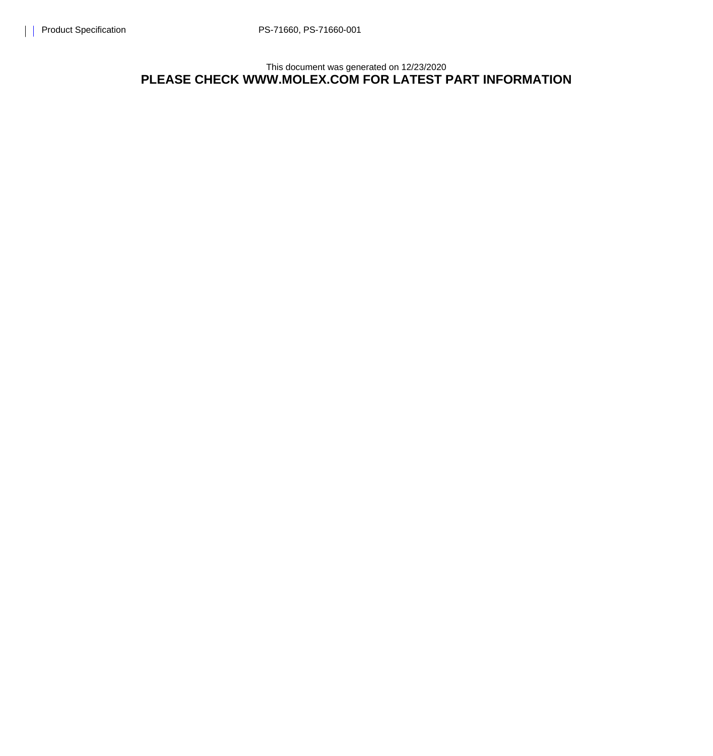## This document was generated on 12/23/2020 **PLEASE CHECK WWW.MOLEX.COM FOR LATEST PART INFORMATION**